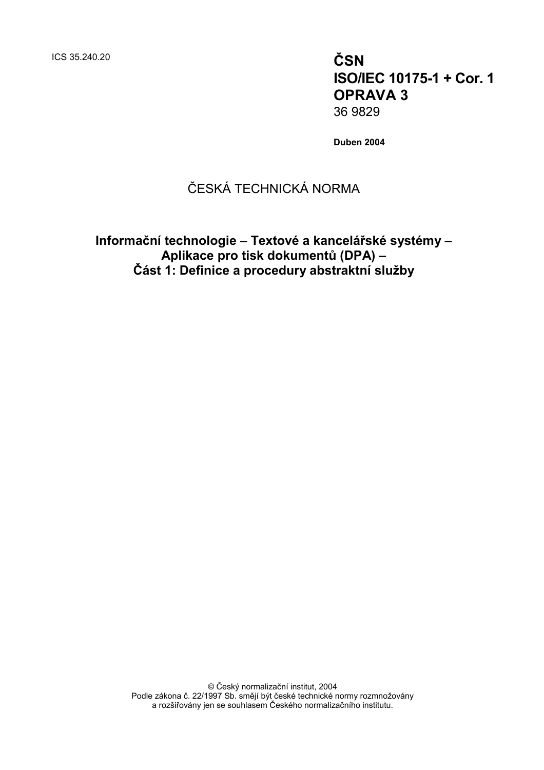ICS 35.240.20 **ČSN**

**ISO/IEC 10175-1 + Cor. 1 OPRAVA 3** 36 9829

**Duben 2004**

# ČESKÁ TECHNICKÁ NORMA

**Informační technologie – Textové a kancelářské systémy – Aplikace pro tisk dokumentů (DPA) – Část 1: Definice a procedury abstraktní služby**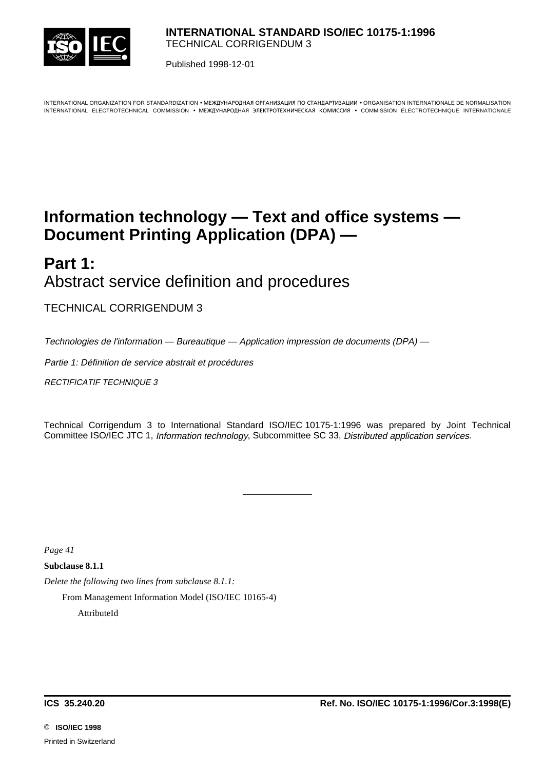

Published 1998-12-01

INTERNATIONAL ORGANIZATION FOR STANDARDIZATION • MEЖДУНАРОДНАЯ ОРГАНИЗАЦИЯ ПО СТАНДАРТИЗАЦИИ • ORGANISATION INTERNATIONALE DE NORMALISATION INTERNATIONAL ELECTROTECHNICAL COMMISSION • MEЖДУНАРОДНАЯ ЭЛЕКТРОТЕХНИЧЕСКАЯ КОМИССИЯ • COMMISSION ÉLECTROTECHNIQUE INTERNATIONALE

# **Information technology — Text and office systems — Document Printing Application (DPA) —**

# **Part 1:** Abstract service definition and procedures

TECHNICAL CORRIGENDUM 3

Technologies de l'information — Bureautique — Application impression de documents (DPA) —

l

Partie 1: Définition de service abstrait et procédures

RECTIFICATIF TECHNIQUE 3

Technical Corrigendum 3 to International Standard ISO/IEC 10175-1:1996 was prepared by Joint Technical Committee ISO/IEC JTC 1, Information technology, Subcommittee SC 33, Distributed application services.

*Page 41*

**Subclause 8.1.1**

*Delete the following two lines from subclause 8.1.1:*

From Management Information Model (ISO/IEC 10165-4)

AttributeId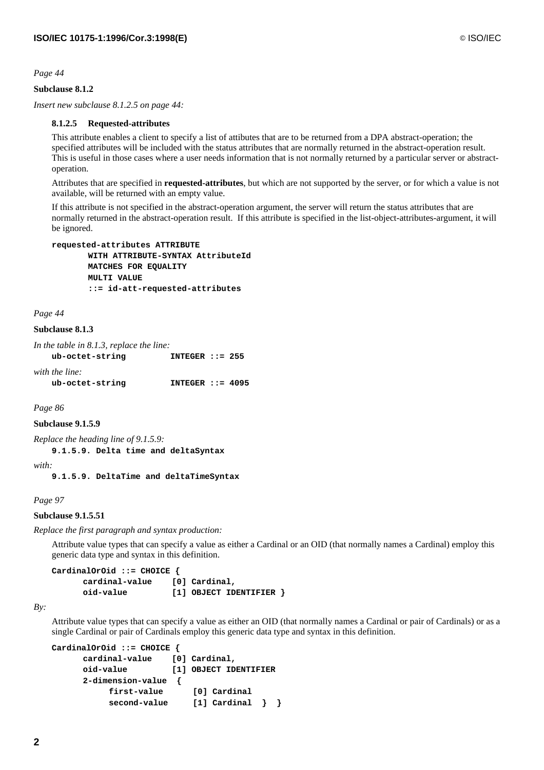# **Subclause 8.1.2**

*Insert new subclause 8.1.2.5 on page 44:*

## **8.1.2.5 Requested-attributes**

This attribute enables a client to specify a list of attibutes that are to be returned from a DPA abstract-operation; the specified attributes will be included with the status attributes that are normally returned in the abstract-operation result. This is useful in those cases where a user needs information that is not normally returned by a particular server or abstractoperation.

Attributes that are specified in **requested-attributes**, but which are not supported by the server, or for which a value is not available, will be returned with an empty value.

If this attribute is not specified in the abstract-operation argument, the server will return the status attributes that are normally returned in the abstract-operation result. If this attribute is specified in the list-object-attributes-argument, it will be ignored.

```
requested-attributes ATTRIBUTE
       WITH ATTRIBUTE-SYNTAX AttributeId
       MATCHES FOR EQUALITY
       MULTI VALUE
       ::= id-att-requested-attributes
```
*Page 44*

# **Subclause 8.1.3**

| In the table in 8.1.3, replace the line: |                    |  |
|------------------------------------------|--------------------|--|
| ub-octet-string                          | INTEGER $: = 255$  |  |
| with the line:                           |                    |  |
| ub-octet-string                          | INTEGER ::= $4095$ |  |

*Page 86*

## **Subclause 9.1.5.9**

*Replace the heading line of 9.1.5.9:*

**9.1.5.9. Delta time and deltaSyntax**

*with:*

**9.1.5.9. DeltaTime and deltaTimeSyntax**

## *Page 97*

## **Subclause 9.1.5.51**

*Replace the first paragraph and syntax production:*

Attribute value types that can specify a value as either a Cardinal or an OID (that normally names a Cardinal) employ this generic data type and syntax in this definition.

```
CardinalOrOid ::= CHOICE {
     cardinal-value [0] Cardinal,
     oid-value [1] OBJECT IDENTIFIER }
```
*By:*

Attribute value types that can specify a value as either an OID (that normally names a Cardinal or pair of Cardinals) or as a single Cardinal or pair of Cardinals employ this generic data type and syntax in this definition.

```
CardinalOrOid ::= CHOICE {
     cardinal-value [0] Cardinal,
     oid-value [1] OBJECT IDENTIFIER
     2-dimension-value {
          first-value [0] Cardinal
          second-value [1] Cardinal } }
```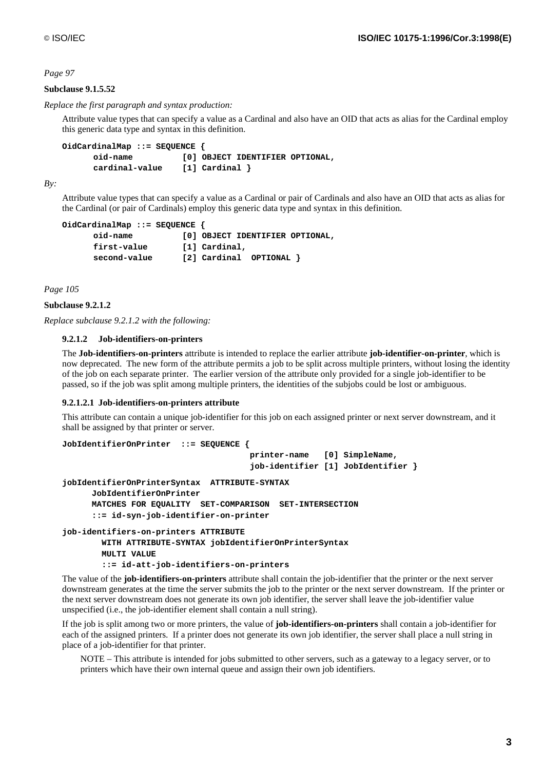# **Subclause 9.1.5.52**

*Replace the first paragraph and syntax production:*

Attribute value types that can specify a value as a Cardinal and also have an OID that acts as alias for the Cardinal employ this generic data type and syntax in this definition.

```
OidCardinalMap ::= SEQUENCE {
     oid-name [0] OBJECT IDENTIFIER OPTIONAL,
     cardinal-value [1] Cardinal }
```
*By:*

Attribute value types that can specify a value as a Cardinal or pair of Cardinals and also have an OID that acts as alias for the Cardinal (or pair of Cardinals) employ this generic data type and syntax in this definition.

```
OidCardinalMap ::= SEQUENCE {
     oid-name [0] OBJECT IDENTIFIER OPTIONAL,
     first-value [1] Cardinal,
     second-value [2] Cardinal OPTIONAL }
```
*Page 105*

```
Subclause 9.2.1.2
```
*Replace subclause 9.2.1.2 with the following:*

## **9.2.1.2 Job-identifiers-on-printers**

The **Job-identifiers-on-printers** attribute is intended to replace the earlier attribute **job-identifier-on-printer**, which is now deprecated. The new form of the attribute permits a job to be split across multiple printers, without losing the identity of the job on each separate printer. The earlier version of the attribute only provided for a single job-identifier to be passed, so if the job was split among multiple printers, the identities of the subjobs could be lost or ambiguous.

## **9.2.1.2.1 Job-identifiers-on-printers attribute**

This attribute can contain a unique job-identifier for this job on each assigned printer or next server downstream, and it shall be assigned by that printer or server.

```
JobIdentifierOnPrinter ::= SEQUENCE {
                                       printer-name [0] SimpleName,
                                       job-identifier [1] JobIdentifier }
jobIdentifierOnPrinterSyntax ATTRIBUTE-SYNTAX
       JobIdentifierOnPrinter
      MATCHES FOR EQUALITY SET-COMPARISON SET-INTERSECTION
       ::= id-syn-job-identifier-on-printer
job-identifiers-on-printers ATTRIBUTE
         WITH ATTRIBUTE-SYNTAX jobIdentifierOnPrinterSyntax
         MULTI VALUE
```
 **::= id-att-job-identifiers-on-printers**

The value of the **job-identifiers-on-printers** attribute shall contain the job-identifier that the printer or the next server downstream generates at the time the server submits the job to the printer or the next server downstream. If the printer or the next server downstream does not generate its own job identifier, the server shall leave the job-identifier value unspecified (i.e., the job-identifier element shall contain a null string).

If the job is split among two or more printers, the value of **job-identifiers-on-printers** shall contain a job-identifier for each of the assigned printers. If a printer does not generate its own job identifier, the server shall place a null string in place of a job-identifier for that printer.

NOTE – This attribute is intended for jobs submitted to other servers, such as a gateway to a legacy server, or to printers which have their own internal queue and assign their own job identifiers.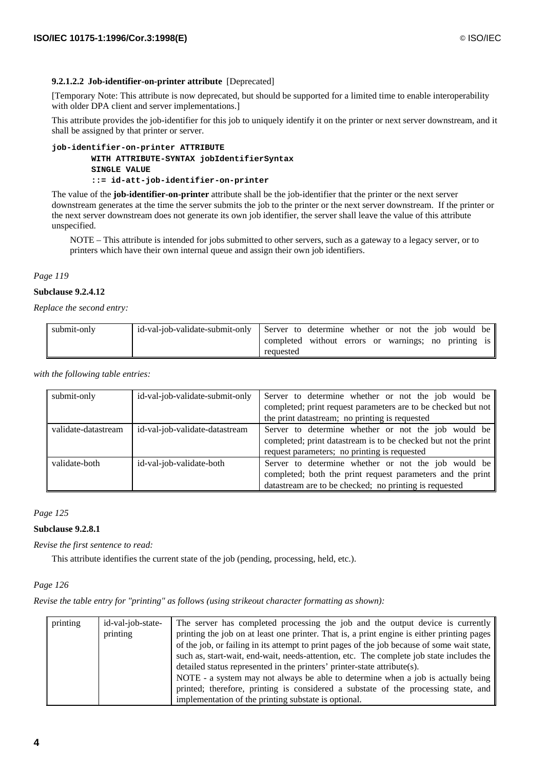# **9.2.1.2.2 Job-identifier-on-printer attribute** [Deprecated]

[Temporary Note: This attribute is now deprecated, but should be supported for a limited time to enable interoperability with older DPA client and server implementations.]

This attribute provides the job-identifier for this job to uniquely identify it on the printer or next server downstream, and it shall be assigned by that printer or server.

# **job-identifier-on-printer ATTRIBUTE WITH ATTRIBUTE-SYNTAX jobIdentifierSyntax SINGLE VALUE ::= id-att-job-identifier-on-printer**

The value of the **job-identifier-on-printer** attribute shall be the job-identifier that the printer or the next server downstream generates at the time the server submits the job to the printer or the next server downstream. If the printer or the next server downstream does not generate its own job identifier, the server shall leave the value of this attribute unspecified.

NOTE – This attribute is intended for jobs submitted to other servers, such as a gateway to a legacy server, or to printers which have their own internal queue and assign their own job identifiers.

*Page 119*

## **Subclause 9.2.4.12**

*Replace the second entry:*

| submit-only | id-val-job-validate-submit-only Server to determine whether or not the job would be |                                                      |  |  |  |  |
|-------------|-------------------------------------------------------------------------------------|------------------------------------------------------|--|--|--|--|
|             |                                                                                     | completed without errors or warnings; no printing is |  |  |  |  |
|             |                                                                                     | requested                                            |  |  |  |  |

*with the following table entries:*

| submit-only         | id-val-job-validate-submit-only | Server to determine whether or not the job would be            |
|---------------------|---------------------------------|----------------------------------------------------------------|
|                     |                                 | completed; print request parameters are to be checked but not  |
|                     |                                 | the print datastream; no printing is requested                 |
| validate-datastream | id-val-job-validate-datastream  | Server to determine whether or not the job would be            |
|                     |                                 | completed; print datastream is to be checked but not the print |
|                     |                                 | request parameters; no printing is requested                   |
| validate-both       | id-val-job-validate-both        | Server to determine whether or not the job would be            |
|                     |                                 | completed; both the print request parameters and the print     |
|                     |                                 | datastream are to be checked; no printing is requested         |

## *Page 125*

# **Subclause 9.2.8.1**

*Revise the first sentence to read:*

This attribute identifies the current state of the job (pending, processing, held, etc.).

*Page 126*

*Revise the table entry for "printing" as follows (using strikeout character formatting as shown):*

| printing | id-val-job-state- | The server has completed processing the job and the output device is currently              |
|----------|-------------------|---------------------------------------------------------------------------------------------|
|          | printing          | printing the job on at least one printer. That is, a print engine is either printing pages  |
|          |                   |                                                                                             |
|          |                   | of the job, or failing in its attempt to print pages of the job because of some wait state, |
|          |                   | such as, start-wait, end-wait, needs-attention, etc. The complete job state includes the    |
|          |                   | detailed status represented in the printers' printer-state attribute(s).                    |
|          |                   | NOTE - a system may not always be able to determine when a job is actually being            |
|          |                   | printed; therefore, printing is considered a substate of the processing state, and          |
|          |                   | implementation of the printing substate is optional.                                        |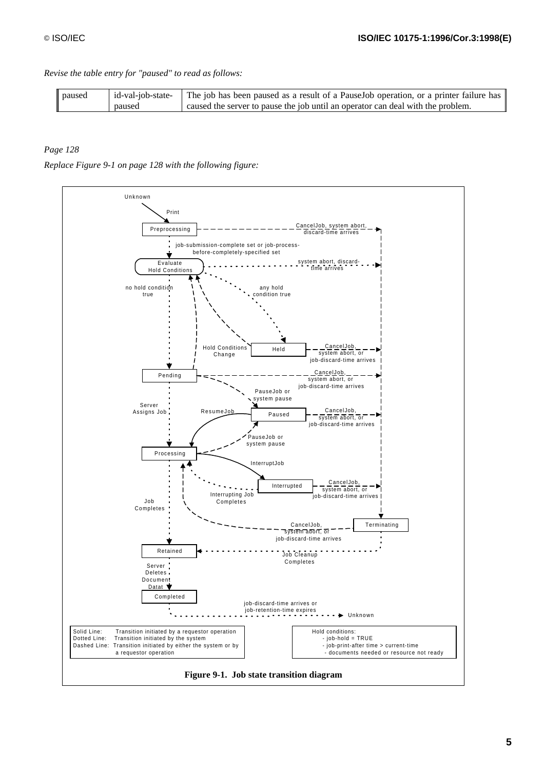*Revise the table entry for "paused" to read as follows:*

| paused | id-val-job-state- | The job has been paused as a result of a Pause Job operation, or a printer failure has |
|--------|-------------------|----------------------------------------------------------------------------------------|
|        | paused            | caused the server to pause the job until an operator can deal with the problem.        |

# *Page 128*

*Replace Figure 9-1 on page 128 with the following figure:*

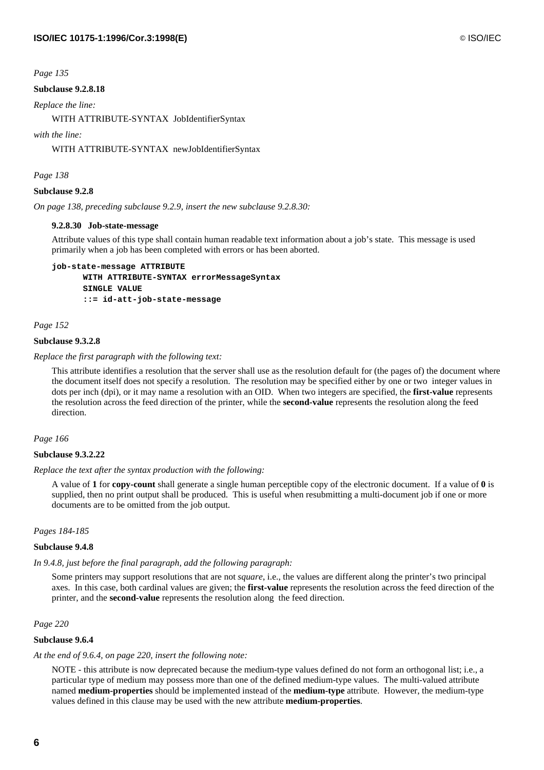# **Subclause 9.2.8.18**

*Replace the line:*

WITH ATTRIBUTE-SYNTAX JobIdentifierSyntax

*with the line:*

WITH ATTRIBUTE-SYNTAX newJobIdentifierSyntax

*Page 138*

## **Subclause 9.2.8**

*On page 138, preceding subclause 9.2.9, insert the new subclause 9.2.8.30:*

## **9.2.8.30 Job-state-message**

Attribute values of this type shall contain human readable text information about a job's state. This message is used primarily when a job has been completed with errors or has been aborted.

**job-state-message ATTRIBUTE WITH ATTRIBUTE-SYNTAX errorMessageSyntax SINGLE VALUE ::= id-att-job-state-message**

*Page 152*

## **Subclause 9.3.2.8**

*Replace the first paragraph with the following text:*

This attribute identifies a resolution that the server shall use as the resolution default for (the pages of) the document where the document itself does not specify a resolution. The resolution may be specified either by one or two integer values in dots per inch (dpi), or it may name a resolution with an OID. When two integers are specified, the **first-value** represents the resolution across the feed direction of the printer, while the **second-value** represents the resolution along the feed direction.

## *Page 166*

## **Subclause 9.3.2.22**

*Replace the text after the syntax production with the following:*

A value of **1** for **copy-count** shall generate a single human perceptible copy of the electronic document. If a value of **0** is supplied, then no print output shall be produced. This is useful when resubmitting a multi-document job if one or more documents are to be omitted from the job output.

## *Pages 184-185*

## **Subclause 9.4.8**

# *In 9.4.8, just before the final paragraph, add the following paragraph:*

Some printers may support resolutions that are not *square*, i.e., the values are different along the printer's two principal axes. In this case, both cardinal values are given; the **first-value** represents the resolution across the feed direction of the printer, and the **second-value** represents the resolution along the feed direction.

*Page 220*

# **Subclause 9.6.4**

## *At the end of 9.6.4, on page 220, insert the following note:*

NOTE - this attribute is now deprecated because the medium-type values defined do not form an orthogonal list; i.e., a particular type of medium may possess more than one of the defined medium-type values. The multi-valued attribute named **medium-properties** should be implemented instead of the **medium-type** attribute. However, the medium-type values defined in this clause may be used with the new attribute **medium-properties**.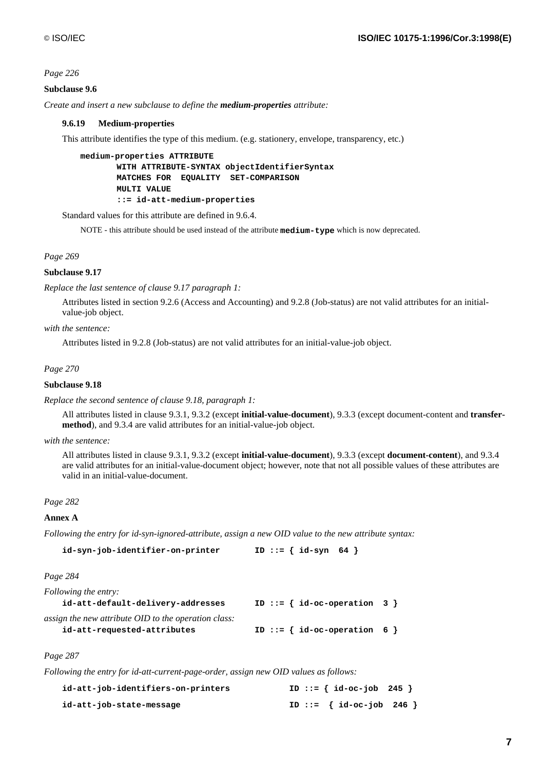## **Subclause 9.6**

*Create and insert a new subclause to define the medium-properties attribute:*

## **9.6.19 Medium-properties**

This attribute identifies the type of this medium. (e.g. stationery, envelope, transparency, etc.)

```
medium-properties ATTRIBUTE
       WITH ATTRIBUTE-SYNTAX objectIdentifierSyntax
       MATCHES FOR EQUALITY SET-COMPARISON
       MULTI VALUE
       ::= id-att-medium-properties
```
Standard values for this attribute are defined in 9.6.4.

NOTE - this attribute should be used instead of the attribute **medium-type** which is now deprecated.

*Page 269*

## **Subclause 9.17**

*Replace the last sentence of clause 9.17 paragraph 1:*

Attributes listed in section 9.2.6 (Access and Accounting) and 9.2.8 (Job-status) are not valid attributes for an initialvalue-job object.

### *with the sentence:*

Attributes listed in 9.2.8 (Job-status) are not valid attributes for an initial-value-job object.

## *Page 270*

### **Subclause 9.18**

*Replace the second sentence of clause 9.18, paragraph 1:*

All attributes listed in clause 9.3.1, 9.3.2 (except **initial-value-document**), 9.3.3 (except document-content and **transfermethod**), and 9.3.4 are valid attributes for an initial-value-job object.

#### *with the sentence:*

All attributes listed in clause 9.3.1, 9.3.2 (except **initial-value-document**), 9.3.3 (except **document-content**), and 9.3.4 are valid attributes for an initial-value-document object; however, note that not all possible values of these attributes are valid in an initial-value-document.

### *Page 282*

#### **Annex A**

*Following the entry for id-syn-ignored-attribute, assign a new OID value to the new attribute syntax:*

```
id-syn-job-identifier-on-printer ID ::= { id-syn 64 }
```
*Page 284*

| Following the entry:                                 |                                  |  |
|------------------------------------------------------|----------------------------------|--|
| id-att-default-delivery-addresses                    | ID ::= $\{ id-oc-operation 3 \}$ |  |
| assign the new attribute OID to the operation class: |                                  |  |

| id-att-requested-attributes |  | ID ::= { $id-oc-operation 6$ } |  |
|-----------------------------|--|--------------------------------|--|

*Page 287*

*Following the entry for id-att-current-page-order, assign new OID values as follows:*

| id-att-job-identifiers-on-printers |  | ID ::= $\{ id-oc-job 245 \}$ |  |
|------------------------------------|--|------------------------------|--|
| id-att-job-state-message           |  | ID ::= $\{ id-oc-job 246 \}$ |  |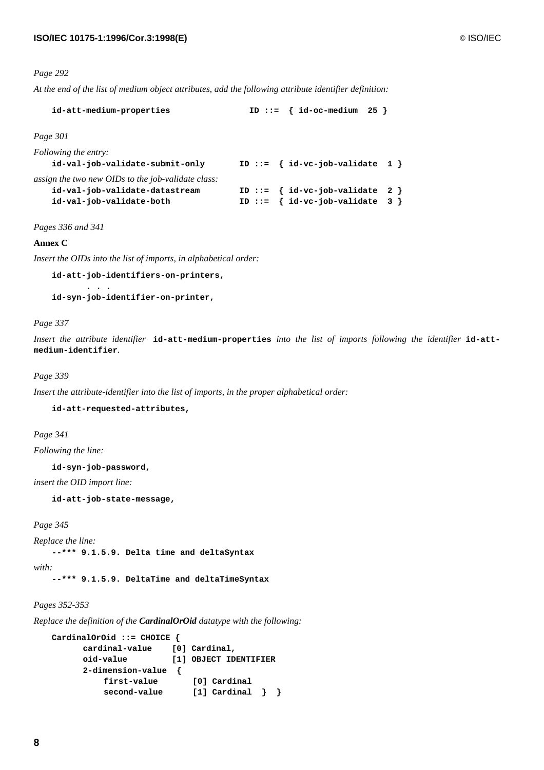*At the end of the list of medium object attributes, add the following attribute identifier definition:*

| id-att-medium-properties                                                                                         | ID ::= $\{ id-oc-medium 25 \}$                                           |
|------------------------------------------------------------------------------------------------------------------|--------------------------------------------------------------------------|
| Page 301                                                                                                         |                                                                          |
| Following the entry:<br>id-val-job-validate-submit-only                                                          | ID ::= $\{ id-vc-job-valiate 1 \}$                                       |
| assign the two new OIDs to the job-validate class:<br>id-val-job-validate-datastream<br>id-val-job-validate-both | ID ::= $\{ id-vc-job-valiate 2 \}$<br>ID ::= $\{ id-vc-job-valiate 3 \}$ |

*Pages 336 and 341*

## **Annex C**

*Insert the OIDs into the list of imports, in alphabetical order:*

**id-att-job-identifiers-on-printers, . . . id-syn-job-identifier-on-printer,**

#### *Page 337*

*Insert the attribute identifier* **id-att-medium-properties** *into the list of imports following the identifier* **id-attmedium-identifier***.*

## *Page 339*

*Insert the attribute-identifier into the list of imports, in the proper alphabetical order:*

**id-att-requested-attributes,**

*Page 341*

*Following the line:*

**id-syn-job-password,**

*insert the OID import line:*

**id-att-job-state-message,**

*Page 345*

*Replace the line:*

**--\*\*\* 9.1.5.9. Delta time and deltaSyntax**

*with:*

**--\*\*\* 9.1.5.9. DeltaTime and deltaTimeSyntax**

# *Pages 352-353*

*Replace the definition of the CardinalOrOid datatype with the following:*

```
CardinalOrOid ::= CHOICE {
     cardinal-value [0] Cardinal,
     oid-value [1] OBJECT IDENTIFIER
     2-dimension-value {
         first-value [0] Cardinal
         second-value [1] Cardinal } }
```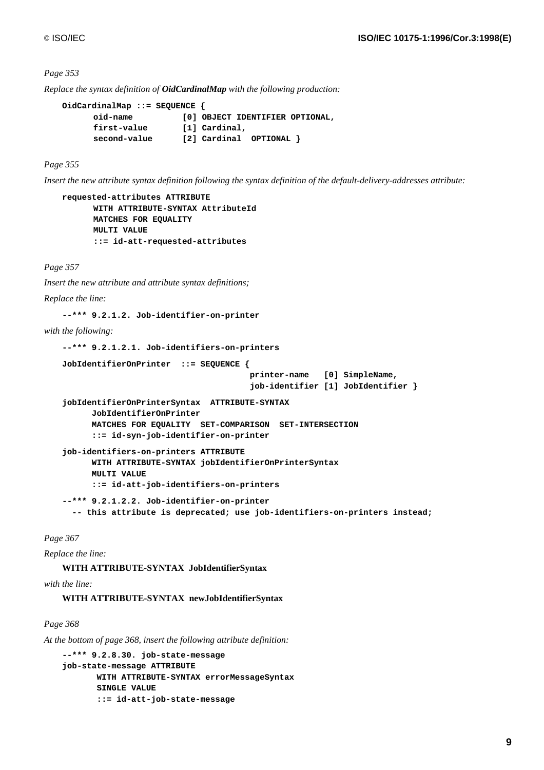*Replace the syntax definition of OidCardinalMap with the following production:*

```
OidCardinalMap ::= SEQUENCE {
     oid-name [0] OBJECT IDENTIFIER OPTIONAL,
     first-value [1] Cardinal,
     second-value [2] Cardinal OPTIONAL }
```
*Page 355*

*Insert the new attribute syntax definition following the syntax definition of the default-delivery-addresses attribute:*

```
requested-attributes ATTRIBUTE
      WITH ATTRIBUTE-SYNTAX AttributeId
      MATCHES FOR EQUALITY
      MULTI VALUE
      ::= id-att-requested-attributes
```
*Page 357*

*Insert the new attribute and attribute syntax definitions;*

*Replace the line:*

**--\*\*\* 9.2.1.2. Job-identifier-on-printer**

*with the following:*

```
--*** 9.2.1.2.1. Job-identifiers-on-printers
JobIdentifierOnPrinter ::= SEQUENCE {
                                       printer-name [0] SimpleName,
                                       job-identifier [1] JobIdentifier }
jobIdentifierOnPrinterSyntax ATTRIBUTE-SYNTAX
      JobIdentifierOnPrinter
      MATCHES FOR EQUALITY SET-COMPARISON SET-INTERSECTION
       ::= id-syn-job-identifier-on-printer
job-identifiers-on-printers ATTRIBUTE
      WITH ATTRIBUTE-SYNTAX jobIdentifierOnPrinterSyntax
      MULTI VALUE
       ::= id-att-job-identifiers-on-printers
--*** 9.2.1.2.2. Job-identifier-on-printer
  -- this attribute is deprecated; use job-identifiers-on-printers instead;
```
*Page 367*

*Replace the line:*

**WITH ATTRIBUTE-SYNTAX JobIdentifierSyntax**

## *with the line:*

**WITH ATTRIBUTE-SYNTAX newJobIdentifierSyntax**

## *Page 368*

*At the bottom of page 368, insert the following attribute definition:*

```
--*** 9.2.8.30. job-state-message
job-state-message ATTRIBUTE
        WITH ATTRIBUTE-SYNTAX errorMessageSyntax
        SINGLE VALUE
        ::= id-att-job-state-message
```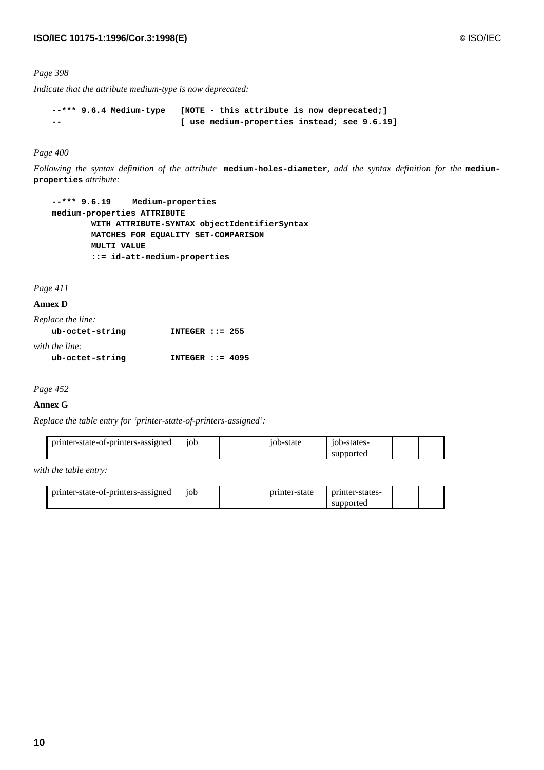*Indicate that the attribute medium-type is now deprecated:*

```
--*** 9.6.4 Medium-type [NOTE - this attribute is now deprecated;]
-- [ use medium-properties instead; see 9.6.19]
```
## *Page 400*

*Following the syntax definition of the attribute* **medium-holes-diameter***, add the syntax definition for the* **mediumproperties** *attribute:*

```
--*** 9.6.19 Medium-properties
medium-properties ATTRIBUTE
         WITH ATTRIBUTE-SYNTAX objectIdentifierSyntax
         MATCHES FOR EQUALITY SET-COMPARISON
         MULTI VALUE
         ::= id-att-medium-properties
```
*Page 411*

**Annex D**

| Replace the line: |                    |
|-------------------|--------------------|
| ub-octet-string   | INTEGER $: = 255$  |
| with the line:    |                    |
| ub-octet-string   | INTEGER $::= 4095$ |

*Page 452*

## **Annex G**

*Replace the table entry for 'printer-state-of-printers-assigned':*

| printer-state-of-printers-assigned | 10 <sub>b</sub> | -state<br>$10b-S$ | -10b-states    |  |
|------------------------------------|-----------------|-------------------|----------------|--|
|                                    |                 |                   | pported<br>sui |  |

*with the table entry:*

| printer-state-of-printers-assigned | 10 <sub>b</sub> | printer-state | printer-states- |  |
|------------------------------------|-----------------|---------------|-----------------|--|
|                                    |                 |               | supported       |  |